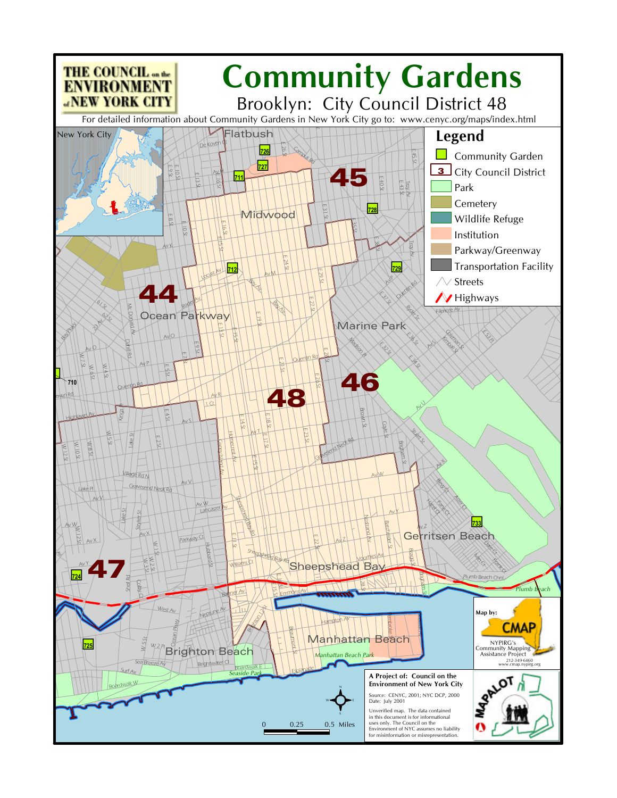